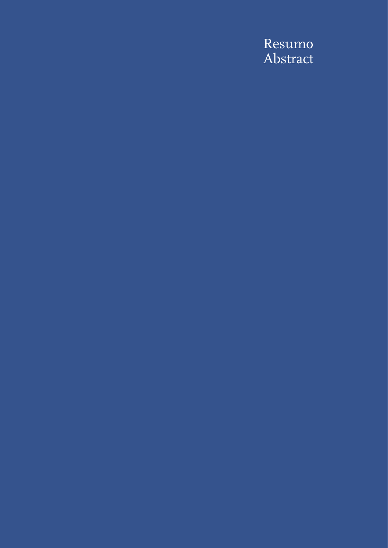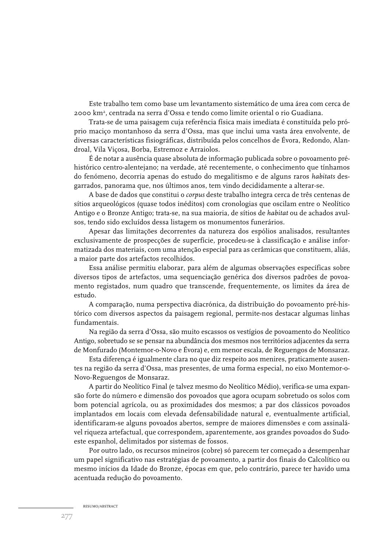Este trabalho tem como base um levantamento sistemático de uma área com cerca de 2000 km2, centrada na serra d'Ossa e tendo como limite oriental o rio Guadiana.

Trata-se de uma paisagem cuja referência física mais imediata é constituída pelo próprio maciço montanhoso da serra d'Ossa, mas que inclui uma vasta área envolvente, de diversas características fisiográficas, distribuída pelos concelhos de Évora, Redondo, Alandroal, Vila Viçosa, Borba, Estremoz e Arraiolos.

É de notar a ausência quase absoluta de informação publicada sobre o povoamento préhistórico centro-alentejano; na verdade, até recentemente, o conhecimento que tínhamos do fenómeno, decorria apenas do estudo do megalitismo e de alguns raros *habitats* desgarrados, panorama que, nos últimos anos, tem vindo decididamente a alterar-se.

A base de dados que constitui o *corpus* deste trabalho integra cerca de três centenas de sítios arqueológicos (quase todos inéditos) com cronologias que oscilam entre o Neolítico Antigo e o Bronze Antigo; trata-se, na sua maioria, de sítios de *habitat* ou de achados avulsos, tendo sido excluídos dessa listagem os monumentos funerários.

Apesar das limitações decorrentes da natureza dos espólios analisados, resultantes exclusivamente de prospecções de superfície, procedeu-se à classificação e análise informatizada dos materiais, com uma atenção especial para as cerâmicas que constituem, aliás, a maior parte dos artefactos recolhidos.

Essa análise permitiu elaborar, para além de algumas observações específicas sobre diversos tipos de artefactos, uma sequenciação genérica dos diversos padrões de povoamento registados, num quadro que transcende, frequentemente, os limites da área de estudo.

A comparação, numa perspectiva diacrónica, da distribuição do povoamento pré-histórico com diversos aspectos da paisagem regional, permite-nos destacar algumas linhas fundamentais.

Na região da serra d'Ossa, são muito escassos os vestígios de povoamento do Neolítico Antigo, sobretudo se se pensar na abundância dos mesmos nos territórios adjacentes da serra de Monfurado (Montemor-o-Novo e Évora) e, em menor escala, de Reguengos de Monsaraz.

Esta diferença é igualmente clara no que diz respeito aos menires, praticamente ausentes na região da serra d'Ossa, mas presentes, de uma forma especial, no eixo Montemor-o-Novo-Reguengos de Monsaraz.

A partir do Neolítico Final (e talvez mesmo do Neolítico Médio), verifica-se uma expansão forte do número e dimensão dos povoados que agora ocupam sobretudo os solos com bom potencial agrícola, ou as proximidades dos mesmos; a par dos clássicos povoados implantados em locais com elevada defensabilidade natural e, eventualmente artificial, identificaram-se alguns povoados abertos, sempre de maiores dimensões e com assinalável riqueza artefactual, que correspondem, aparentemente, aos grandes povoados do Sudoeste espanhol, delimitados por sistemas de fossos.

Por outro lado, os recursos mineiros (cobre) só parecem ter começado a desempenhar um papel significativo nas estratégias de povoamento, a partir dos finais do Calcolítico ou mesmo inícios da Idade do Bronze, épocas em que, pelo contrário, parece ter havido uma acentuada redução do povoamento.

RESUMO/ABSTRACT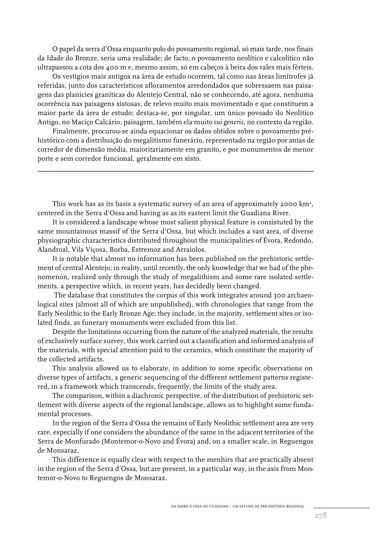O papel da serra d'Ossa enquanto polo do povoamento regional, só mais tarde, nos finais da Idade do Bronze, seria uma realidade; de facto, o povoamento neolítico e calcolítico não ultrapassou a cota dos 400 m e, mesmo assim, só em cabeços à beira dos vales mais férteis.

Os vestígios mais antigos na área de estudo ocorrem, tal como nas áreas limítrofes já referidas, junto dos característicos afloramentos arredondados que sobressaem nas paisagens das planícies graníticas do Alentejo Central, não se conhecendo, até agora, nenhuma ocorrência nas paisagens xistosas, de relevo muito mais movimentado e que constituem a maior parte da área de estudo; destaca-se, por singular, um único povoado do Neolítico Antigo, no Maciço Calcário, paisagem, também ela muito *sui generis*, no contexto da região.

Finalmente, procurou-se ainda equacionar os dados obtidos sobre o povoamento préhistórico com a distribuição do megalitismo funerário, representado na região por antas de corredor de dimensão média, maioritariamente em granito, e por monumentos de menor porte e sem corredor funcional, geralmente em xisto.

This work has as its basis a systematic survey of an area of approximately 2000 km<sup>2</sup>, centered in the Serra d'Ossa and having as as its eastern limit the Guadiana River.

It is considered a landscape whose most salient physical feature is consistuted by the same mountainous massif of the Serra d'Ossa, but which includes a vast area, of diverse physiographic characteristics distributed throughout the municipalities of Évora, Redondo, Alandroal, Vila Viçosa, Borba, Estremoz and Arraiolos.

It is notable that almost no information has been published on the prehistoric settlement of central Alentejo; in reality, until recently, the only knowledge that we had of the phenomenon, realized only through the study of megalithism and some rare isolated settlements, a perspective which, in recent years, has decidedly been changed.

The database that constitutes the corpus of this work integrates around 300 archaeological sites (almost all of which are unpublished), with chronologies that range from the Early Neolithic to the Early Bronze Age; they include, in the majority, settlement sites or isolated finds, as funerary monuments were excluded from this list.

Despite the limitations occurring from the nature of the analyzed materials, the results of exclusively surface survey, this work carried out a classification and informed analysis of the materials, with special attention paid to the ceramics, which constitute the majority of the collected artifacts.

This analysis allowed us to elaborate, in addition to some specific observations on diverse types of artifacts, a generic sequencing of the different settlement patterns registered, in a framework which transcends, frequently, the limits of the study area.

The comparison, within a diachronic perspective, of the distribution of prehistoric settlement with diverse aspects of the regional landscape, allows us to highlight some fundamental processes.

In the region of the Serra d'Ossa the remains of Early Neolithic settlement area are very rare, especially if one considers the abundance of the same in the adjacent territories of the Serra de Monfurado (Montemor-o-Novo and Évora) and, on a smaller scale, in Reguengos de Monsaraz.

This difference is equally clear with respect to the menhirs that are practically absent in the region of the Serra d'Ossa, but are present, in a particular way, in the axis from Montemor-o-Novo to Reguengos de Monsaraz.